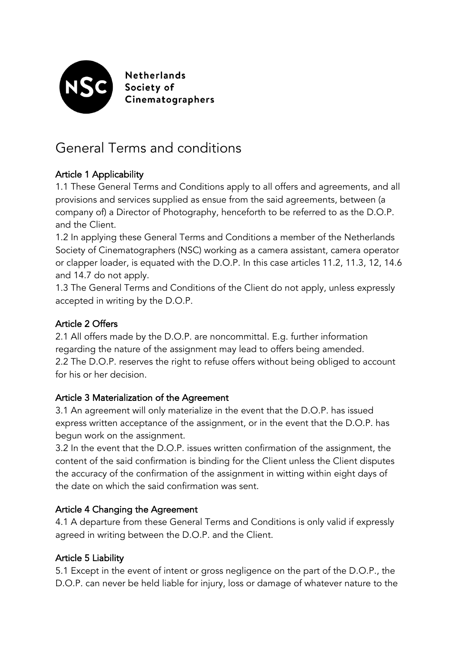

**Netherlands** Society of Cinematographers

# General Terms and conditions

# Article 1 Applicability

1.1 These General Terms and Conditions apply to all offers and agreements, and all provisions and services supplied as ensue from the said agreements, between (a company of) a Director of Photography, henceforth to be referred to as the D.O.P. and the Client.

1.2 In applying these General Terms and Conditions a member of the Netherlands Society of Cinematographers (NSC) working as a camera assistant, camera operator or clapper loader, is equated with the D.O.P. In this case articles 11.2, 11.3, 12, 14.6 and 14.7 do not apply.

1.3 The General Terms and Conditions of the Client do not apply, unless expressly accepted in writing by the D.O.P.

## Article 2 Offers

2.1 All offers made by the D.O.P. are noncommittal. E.g. further information regarding the nature of the assignment may lead to offers being amended. 2.2 The D.O.P. reserves the right to refuse offers without being obliged to account for his or her decision.

#### Article 3 Materialization of the Agreement

3.1 An agreement will only materialize in the event that the D.O.P. has issued express written acceptance of the assignment, or in the event that the D.O.P. has begun work on the assignment.

3.2 In the event that the D.O.P. issues written confirmation of the assignment, the content of the said confirmation is binding for the Client unless the Client disputes the accuracy of the confirmation of the assignment in witting within eight days of the date on which the said confirmation was sent.

## Article 4 Changing the Agreement

4.1 A departure from these General Terms and Conditions is only valid if expressly agreed in writing between the D.O.P. and the Client.

## Article 5 Liability

5.1 Except in the event of intent or gross negligence on the part of the D.O.P., the D.O.P. can never be held liable for injury, loss or damage of whatever nature to the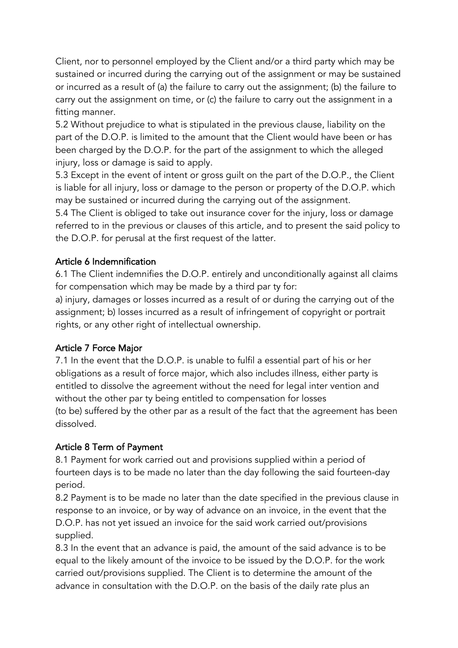Client, nor to personnel employed by the Client and/or a third party which may be sustained or incurred during the carrying out of the assignment or may be sustained or incurred as a result of (a) the failure to carry out the assignment; (b) the failure to carry out the assignment on time, or (c) the failure to carry out the assignment in a fitting manner.

5.2 Without prejudice to what is stipulated in the previous clause, liability on the part of the D.O.P. is limited to the amount that the Client would have been or has been charged by the D.O.P. for the part of the assignment to which the alleged injury, loss or damage is said to apply.

5.3 Except in the event of intent or gross guilt on the part of the D.O.P., the Client is liable for all injury, loss or damage to the person or property of the D.O.P. which may be sustained or incurred during the carrying out of the assignment.

5.4 The Client is obliged to take out insurance cover for the injury, loss or damage referred to in the previous or clauses of this article, and to present the said policy to the D.O.P. for perusal at the first request of the latter.

#### Article 6 Indemnification

6.1 The Client indemnifies the D.O.P. entirely and unconditionally against all claims for compensation which may be made by a third par ty for:

a) injury, damages or losses incurred as a result of or during the carrying out of the assignment; b) losses incurred as a result of infringement of copyright or portrait rights, or any other right of intellectual ownership.

#### Article 7 Force Major

7.1 In the event that the D.O.P. is unable to fulfil a essential part of his or her obligations as a result of force major, which also includes illness, either party is entitled to dissolve the agreement without the need for legal inter vention and without the other par ty being entitled to compensation for losses (to be) suffered by the other par as a result of the fact that the agreement has been dissolved.

#### Article 8 Term of Payment

8.1 Payment for work carried out and provisions supplied within a period of fourteen days is to be made no later than the day following the said fourteen-day period.

8.2 Payment is to be made no later than the date specified in the previous clause in response to an invoice, or by way of advance on an invoice, in the event that the D.O.P. has not yet issued an invoice for the said work carried out/provisions supplied.

8.3 In the event that an advance is paid, the amount of the said advance is to be equal to the likely amount of the invoice to be issued by the D.O.P. for the work carried out/provisions supplied. The Client is to determine the amount of the advance in consultation with the D.O.P. on the basis of the daily rate plus an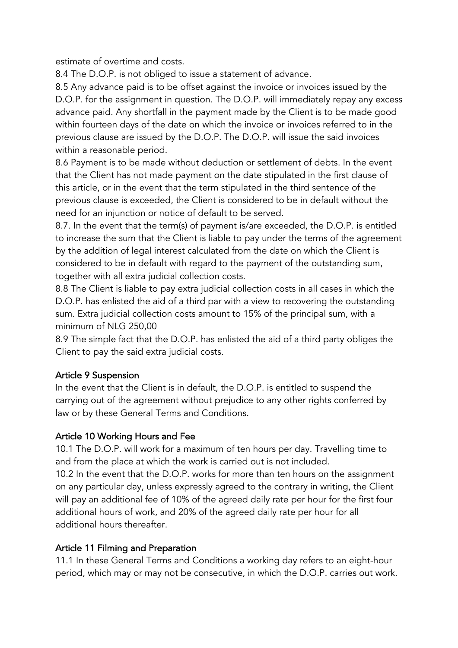estimate of overtime and costs.

8.4 The D.O.P. is not obliged to issue a statement of advance.

8.5 Any advance paid is to be offset against the invoice or invoices issued by the D.O.P. for the assignment in question. The D.O.P. will immediately repay any excess advance paid. Any shortfall in the payment made by the Client is to be made good within fourteen days of the date on which the invoice or invoices referred to in the previous clause are issued by the D.O.P. The D.O.P. will issue the said invoices within a reasonable period.

8.6 Payment is to be made without deduction or settlement of debts. In the event that the Client has not made payment on the date stipulated in the first clause of this article, or in the event that the term stipulated in the third sentence of the previous clause is exceeded, the Client is considered to be in default without the need for an injunction or notice of default to be served.

8.7. In the event that the term(s) of payment is/are exceeded, the D.O.P. is entitled to increase the sum that the Client is liable to pay under the terms of the agreement by the addition of legal interest calculated from the date on which the Client is considered to be in default with regard to the payment of the outstanding sum, together with all extra judicial collection costs.

8.8 The Client is liable to pay extra judicial collection costs in all cases in which the D.O.P. has enlisted the aid of a third par with a view to recovering the outstanding sum. Extra judicial collection costs amount to 15% of the principal sum, with a minimum of NLG 250,00

8.9 The simple fact that the D.O.P. has enlisted the aid of a third party obliges the Client to pay the said extra judicial costs.

#### Article 9 Suspension

In the event that the Client is in default, the D.O.P. is entitled to suspend the carrying out of the agreement without prejudice to any other rights conferred by law or by these General Terms and Conditions.

## Article 10 Working Hours and Fee

10.1 The D.O.P. will work for a maximum of ten hours per day. Travelling time to and from the place at which the work is carried out is not included.

10.2 In the event that the D.O.P. works for more than ten hours on the assignment on any particular day, unless expressly agreed to the contrary in writing, the Client will pay an additional fee of 10% of the agreed daily rate per hour for the first four additional hours of work, and 20% of the agreed daily rate per hour for all additional hours thereafter.

## Article 11 Filming and Preparation

11.1 In these General Terms and Conditions a working day refers to an eight-hour period, which may or may not be consecutive, in which the D.O.P. carries out work.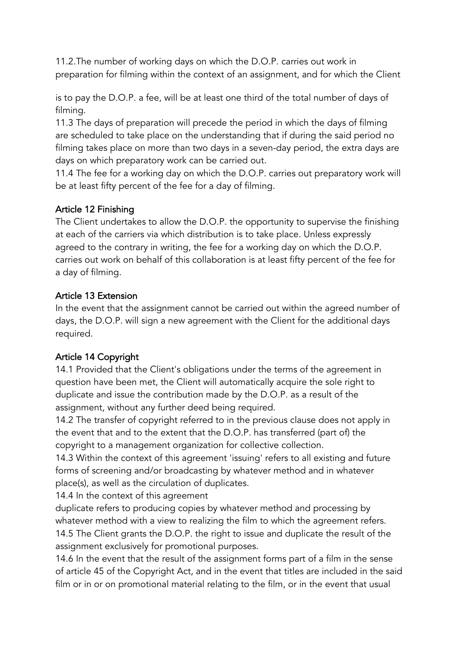11.2.The number of working days on which the D.O.P. carries out work in preparation for filming within the context of an assignment, and for which the Client

is to pay the D.O.P. a fee, will be at least one third of the total number of days of filming.

11.3 The days of preparation will precede the period in which the days of filming are scheduled to take place on the understanding that if during the said period no filming takes place on more than two days in a seven-day period, the extra days are days on which preparatory work can be carried out.

11.4 The fee for a working day on which the D.O.P. carries out preparatory work will be at least fifty percent of the fee for a day of filming.

## Article 12 Finishing

The Client undertakes to allow the D.O.P. the opportunity to supervise the finishing at each of the carriers via which distribution is to take place. Unless expressly agreed to the contrary in writing, the fee for a working day on which the D.O.P. carries out work on behalf of this collaboration is at least fifty percent of the fee for a day of filming.

#### Article 13 Extension

In the event that the assignment cannot be carried out within the agreed number of days, the D.O.P. will sign a new agreement with the Client for the additional days required.

#### Article 14 Copyright

14.1 Provided that the Client's obligations under the terms of the agreement in question have been met, the Client will automatically acquire the sole right to duplicate and issue the contribution made by the D.O.P. as a result of the assignment, without any further deed being required.

14.2 The transfer of copyright referred to in the previous clause does not apply in the event that and to the extent that the D.O.P. has transferred (part of) the copyright to a management organization for collective collection.

14.3 Within the context of this agreement 'issuing' refers to all existing and future forms of screening and/or broadcasting by whatever method and in whatever place(s), as well as the circulation of duplicates.

14.4 In the context of this agreement

duplicate refers to producing copies by whatever method and processing by whatever method with a view to realizing the film to which the agreement refers. 14.5 The Client grants the D.O.P. the right to issue and duplicate the result of the assignment exclusively for promotional purposes.

14.6 In the event that the result of the assignment forms part of a film in the sense of article 45 of the Copyright Act, and in the event that titles are included in the said film or in or on promotional material relating to the film, or in the event that usual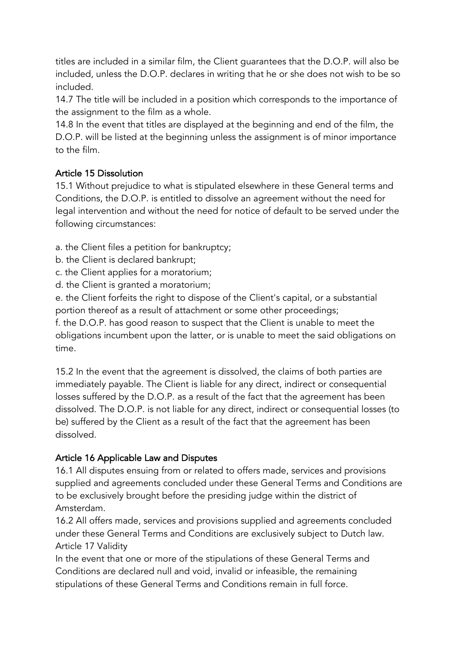titles are included in a similar film, the Client guarantees that the D.O.P. will also be included, unless the D.O.P. declares in writing that he or she does not wish to be so included.

14.7 The title will be included in a position which corresponds to the importance of the assignment to the film as a whole.

14.8 In the event that titles are displayed at the beginning and end of the film, the D.O.P. will be listed at the beginning unless the assignment is of minor importance to the film.

## Article 15 Dissolution

15.1 Without prejudice to what is stipulated elsewhere in these General terms and Conditions, the D.O.P. is entitled to dissolve an agreement without the need for legal intervention and without the need for notice of default to be served under the following circumstances:

a. the Client files a petition for bankruptcy;

- b. the Client is declared bankrupt;
- c. the Client applies for a moratorium;
- d. the Client is granted a moratorium;

e. the Client forfeits the right to dispose of the Client's capital, or a substantial portion thereof as a result of attachment or some other proceedings;

f. the D.O.P. has good reason to suspect that the Client is unable to meet the obligations incumbent upon the latter, or is unable to meet the said obligations on time.

15.2 In the event that the agreement is dissolved, the claims of both parties are immediately payable. The Client is liable for any direct, indirect or consequential losses suffered by the D.O.P. as a result of the fact that the agreement has been dissolved. The D.O.P. is not liable for any direct, indirect or consequential losses (to be) suffered by the Client as a result of the fact that the agreement has been dissolved.

## Article 16 Applicable Law and Disputes

16.1 All disputes ensuing from or related to offers made, services and provisions supplied and agreements concluded under these General Terms and Conditions are to be exclusively brought before the presiding judge within the district of Amsterdam.

16.2 All offers made, services and provisions supplied and agreements concluded under these General Terms and Conditions are exclusively subject to Dutch law. Article 17 Validity

In the event that one or more of the stipulations of these General Terms and Conditions are declared null and void, invalid or infeasible, the remaining stipulations of these General Terms and Conditions remain in full force.